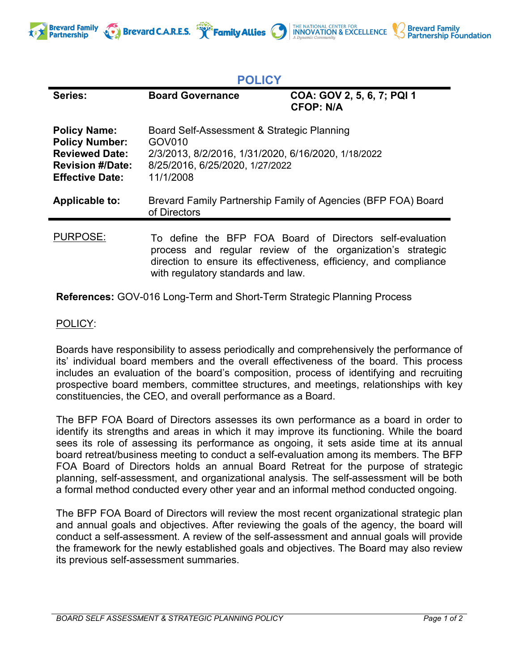



## **POLICY**

| Series:                                                                                                                    | <b>Board Governance</b>                                                                                                                                     | COA: GOV 2, 5, 6, 7; PQI 1<br><b>CFOP: N/A</b>                                                                                                                                              |
|----------------------------------------------------------------------------------------------------------------------------|-------------------------------------------------------------------------------------------------------------------------------------------------------------|---------------------------------------------------------------------------------------------------------------------------------------------------------------------------------------------|
| <b>Policy Name:</b><br><b>Policy Number:</b><br><b>Reviewed Date:</b><br><b>Revision #/Date:</b><br><b>Effective Date:</b> | Board Self-Assessment & Strategic Planning<br>GOV010<br>2/3/2013, 8/2/2016, 1/31/2020, 6/16/2020, 1/18/2022<br>8/25/2016, 6/25/2020, 1/27/2022<br>11/1/2008 |                                                                                                                                                                                             |
| Applicable to:                                                                                                             | of Directors                                                                                                                                                | Brevard Family Partnership Family of Agencies (BFP FOA) Board                                                                                                                               |
| PURPOSE:                                                                                                                   | with regulatory standards and law.                                                                                                                          | To define the BFP FOA Board of Directors self-evaluation<br>process and regular review of the organization's strategic<br>direction to ensure its effectiveness, efficiency, and compliance |

**References:** GOV-016 Long-Term and Short-Term Strategic Planning Process

## POLICY:

**Brevard Family<br>Partnership** 

Boards have responsibility to assess periodically and comprehensively the performance of its' individual board members and the overall effectiveness of the board. This process includes an evaluation of the board's composition, process of identifying and recruiting prospective board members, committee structures, and meetings, relationships with key constituencies, the CEO, and overall performance as a Board.

The BFP FOA Board of Directors assesses its own performance as a board in order to identify its strengths and areas in which it may improve its functioning. While the board sees its role of assessing its performance as ongoing, it sets aside time at its annual board retreat/business meeting to conduct a self-evaluation among its members. The BFP FOA Board of Directors holds an annual Board Retreat for the purpose of strategic planning, self-assessment, and organizational analysis. The self-assessment will be both a formal method conducted every other year and an informal method conducted ongoing.

The BFP FOA Board of Directors will review the most recent organizational strategic plan and annual goals and objectives. After reviewing the goals of the agency, the board will conduct a self-assessment. A review of the self-assessment and annual goals will provide the framework for the newly established goals and objectives. The Board may also review its previous self-assessment summaries.